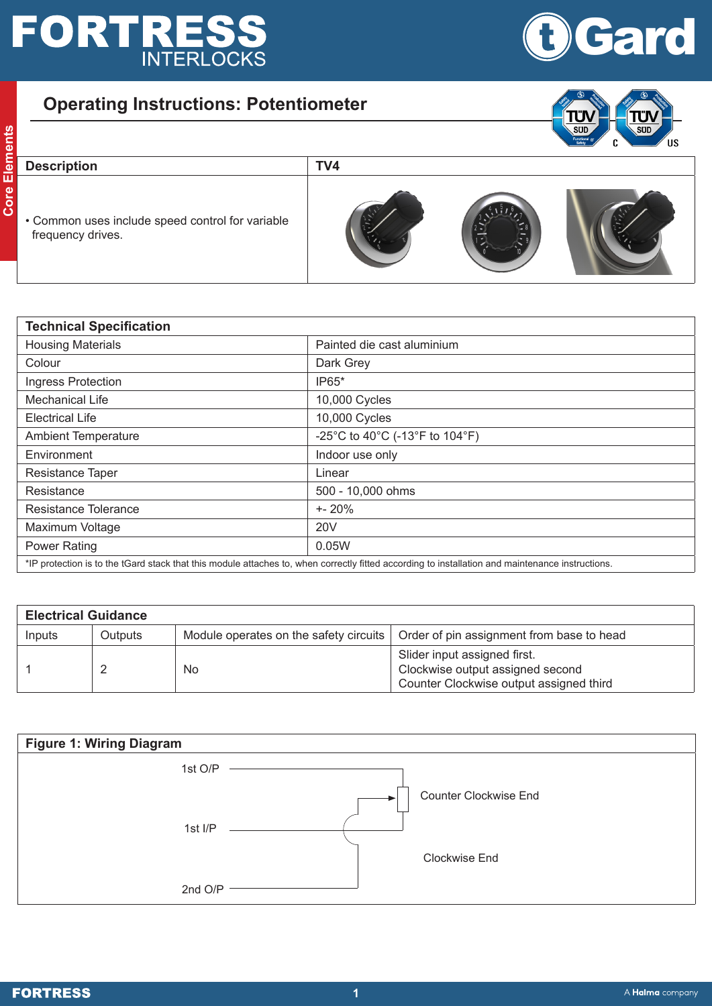## **FORTRESS**



## **Operating Instructions: Potentiometer**



• Common uses include speed control for variable frequency drives.



| <b>Technical Specification</b> |                                                                                                                                                  |  |
|--------------------------------|--------------------------------------------------------------------------------------------------------------------------------------------------|--|
| <b>Housing Materials</b>       | Painted die cast aluminium                                                                                                                       |  |
| Colour                         | Dark Grey                                                                                                                                        |  |
| Ingress Protection             | IP65*                                                                                                                                            |  |
| <b>Mechanical Life</b>         | 10,000 Cycles                                                                                                                                    |  |
| <b>Electrical Life</b>         | 10,000 Cycles                                                                                                                                    |  |
| <b>Ambient Temperature</b>     | -25°C to 40°C (-13°F to 104°F)                                                                                                                   |  |
| Environment                    | Indoor use only                                                                                                                                  |  |
| Resistance Taper               | Linear                                                                                                                                           |  |
| Resistance                     | 500 - 10,000 ohms                                                                                                                                |  |
| Resistance Tolerance           | $+ - 20%$                                                                                                                                        |  |
| Maximum Voltage                | <b>20V</b>                                                                                                                                       |  |
| <b>Power Rating</b>            | 0.05W                                                                                                                                            |  |
|                                | *IP protection is to the tGard stack that this module attaches to, when correctly fitted according to installation and maintenance instructions. |  |

| <b>Electrical Guidance</b> |                |    |                                                                                                             |  |
|----------------------------|----------------|----|-------------------------------------------------------------------------------------------------------------|--|
| Inputs                     | <b>Outputs</b> |    | Module operates on the safety circuits   Order of pin assignment from base to head                          |  |
|                            |                | No | Slider input assigned first.<br>Clockwise output assigned second<br>Counter Clockwise output assigned third |  |

| <b>Figure 1: Wiring Diagram</b> |                              |
|---------------------------------|------------------------------|
| 1st O/P                         |                              |
|                                 | <b>Counter Clockwise End</b> |
| 1st I/P                         |                              |
|                                 | Clockwise End                |
| 2nd O/P                         |                              |